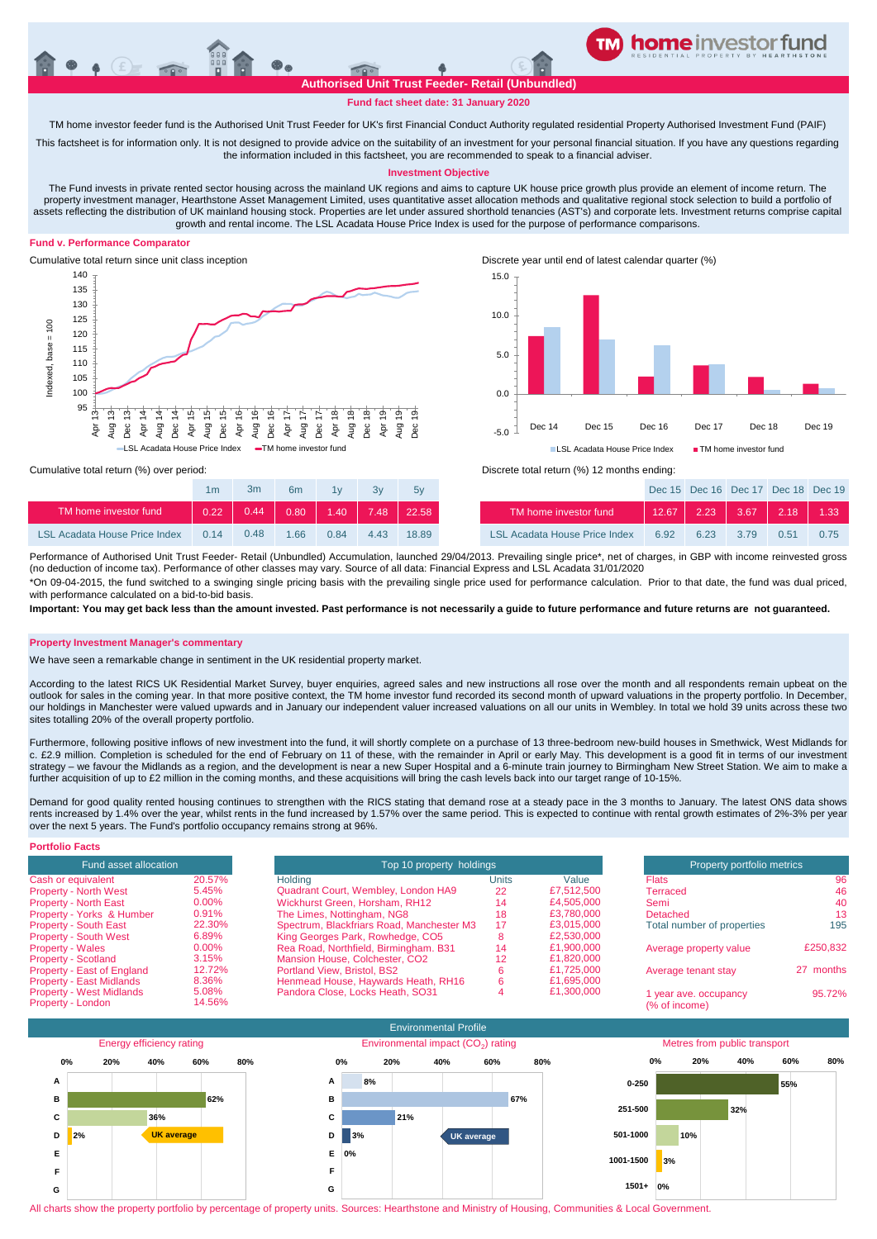#### **Authorised Unit Trust Feeder- Retail (Unbundled)**

**TM home investor feeder fund**

# **Fund fact sheet date: 31 January 2020**

TM home investor feeder fund is the Authorised Unit Trust Feeder for UK's first Financial Conduct Authority regulated residential Property Authorised Investment Fund (PAIF)

This factsheet is for information only. It is not designed to provide advice on the suitability of an investment for your personal financial situation. If you have any questions regarding the information included in this factsheet, you are recommended to speak to a financial adviser.

### **Investment Objective**

The Fund invests in private rented sector housing across the mainland UK regions and aims to capture UK house price growth plus provide an element of income return. The property investment manager, Hearthstone Asset Management Limited, uses quantitative asset allocation methods and qualitative regional stock selection to build a portfolio of assets reflecting the distribution of UK mainland housing stock. Properties are let under assured shorthold tenancies (AST's) and corporate lets. Investment returns comprise capital growth and rental income. The LSL Acadata House Price Index is used for the purpose of performance comparisons.

# **Fund v. Performance Comparator**





Cumulative total return (%) over period: Discrete total return (%) 12 months ending:

|                               | 1m   | 3m   | 6 <sub>m</sub> | 1v   | 3v   | 5v    |                                      |       | Dec 15 Dec 16 Dec 17 Dec 18 Dec 1 |      |         |         |
|-------------------------------|------|------|----------------|------|------|-------|--------------------------------------|-------|-----------------------------------|------|---------|---------|
| TM home investor fund         | 0.22 | 0.44 | 0.80           | 1.40 | 7.48 | 22.58 | TM home investor fund                | 12.67 | $\parallel$ 2.23 $\parallel$      | 3.67 | $-2.18$ | $-1.33$ |
| LSL Acadata House Price Index | 0,14 | 0.48 | 166            | 0.84 | 4.43 | 18.89 | <b>LSL Acadata House Price Index</b> | 6.92  | 6.23                              | 3.79 | 0.51    | 0.75    |

Performance of Authorised Unit Trust Feeder- Retail (Unbundled) Accumulation, launched 29/04/2013. Prevailing single price\*, net of charges, in GBP with income reinvested gross (no deduction of income tax). Performance of other classes may vary. Source of all data: Financial Express and LSL Acadata 31/01/2020 \*On 09-04-2015, the fund switched to a swinging single pricing basis with the prevailing single price used for performance calculation. Prior to that date, the fund was dual priced,

with performance calculated on a bid-to-bid basis **Important: You may get back less than the amount invested. Past performance is not necessarily a guide to future performance and future returns are not guaranteed.** 

**Property Investment Manager's commentary**

We have seen a remarkable change in sentiment in the UK residential property market.

According to the latest RICS UK Residential Market Survey, buyer enquiries, agreed sales and new instructions all rose over the month and all respondents remain upbeat on the outlook for sales in the coming year. In that more positive context, the TM home investor fund recorded its second month of upward valuations in the property portfolio. In December, our holdings in Manchester were valued upwards and in January our independent valuer increased valuations on all our units in Wembley. In total we hold 39 units across these two sites totalling 20% of the overall property portfolio.

Furthermore, following positive inflows of new investment into the fund, it will shortly complete on a purchase of 13 three-bedroom new-build houses in Smethwick, West Midlands for c. £2.9 million. Completion is scheduled for the end of February on 11 of these, with the remainder in April or early May. This development is a good fit in terms of our investment strategy – we favour the Midlands as a region, and the development is near a new Super Hospital and a 6-minute train journey to Birmingham New Street Station. We aim to make a further acquisition of up to £2 million in the coming months, and these acquisitions will bring the cash levels back into our target range of 10-15%.

Demand for good quality rented housing continues to strengthen with the RICS stating that demand rose at a steady pace in the 3 months to January. The latest ONS data shows rents increased by 1.4% over the year, whilst rents in the fund increased by 1.57% over the same period. This is expected to continue with rental growth estimates of 2%-3% per year over the next 5 years. The Fund's portfolio occupancy remains strong at 96%.

| <b>Portfolio Facts</b>                               |                 |                                           |                            |            |                                        |           |
|------------------------------------------------------|-----------------|-------------------------------------------|----------------------------|------------|----------------------------------------|-----------|
| Fund asset allocation                                |                 | Top 10 property holdings                  | Property portfolio metrics |            |                                        |           |
| Cash or equivalent                                   | 20.57%          | Holding                                   | Units                      | Value      | <b>Flats</b>                           | 96        |
| <b>Property - North West</b>                         | 5.45%           | Quadrant Court, Wembley, London HA9       | 22                         | £7,512,500 | Terraced                               | 46        |
| <b>Property - North East</b>                         | $0.00\%$        | Wickhurst Green, Horsham, RH12            | 14                         | £4,505,000 | Semi                                   | 40        |
| Property - Yorks & Humber                            | 0.91%           | The Limes, Nottingham, NG8                | 18                         | £3.780,000 | Detached                               | 13        |
| <b>Property - South East</b>                         | 22.30%          | Spectrum, Blackfriars Road, Manchester M3 | 17                         | £3.015.000 | Total number of properties             | 195       |
| <b>Property - South West</b>                         | 6.89%           | King Georges Park, Rowhedge, CO5          | o                          | £2,530,000 |                                        |           |
| <b>Property - Wales</b>                              | $0.00\%$        | Rea Road, Northfield, Birmingham. B31     | 14                         | £1.900.000 | Average property value                 | £250,832  |
| <b>Property - Scotland</b>                           | 3.15%           | Mansion House, Colchester, CO2            | 12                         | £1,820,000 |                                        |           |
| Property - East of England                           | 12.72%          | Portland View, Bristol, BS2               |                            | £1.725,000 | Average tenant stay                    | 27 months |
| <b>Property - East Midlands</b>                      | 8.36%           | Henmead House, Haywards Heath, RH16       |                            | £1,695,000 |                                        |           |
| <b>Property - West Midlands</b><br>Property - London | 5.08%<br>14.56% | Pandora Close, Locks Heath, SO31          |                            | £1,300,000 | 1 year ave. occupancy<br>(% of income) | 95.72%    |



All charts show the property portfolio by percentage of property units. Sources: Hearthstone and Ministry of Housing, Communities & Local Government.